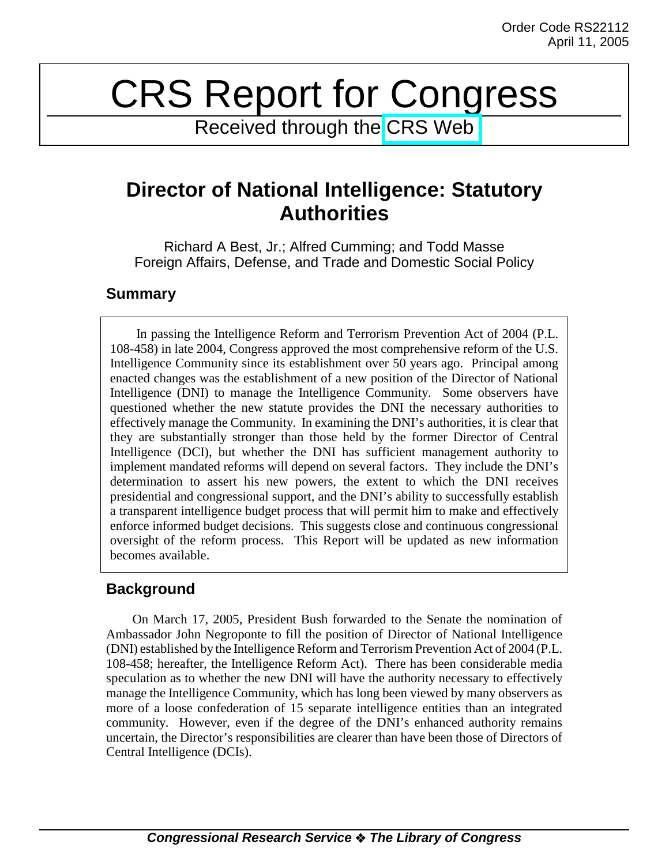# CRS Report for Congress

Received through the [CRS Web](http://www.fas.org/sgp/crs/intel/index.html)

## **Director of National Intelligence: Statutory Authorities**

Richard A Best, Jr.; Alfred Cumming; and Todd Masse Foreign Affairs, Defense, and Trade and Domestic Social Policy

## **Summary**

In passing the Intelligence Reform and Terrorism Prevention Act of 2004 (P.L. 108-458) in late 2004, Congress approved the most comprehensive reform of the U.S. Intelligence Community since its establishment over 50 years ago. Principal among enacted changes was the establishment of a new position of the Director of National Intelligence (DNI) to manage the Intelligence Community. Some observers have questioned whether the new statute provides the DNI the necessary authorities to effectively manage the Community. In examining the DNI's authorities, it is clear that they are substantially stronger than those held by the former Director of Central Intelligence (DCI), but whether the DNI has sufficient management authority to implement mandated reforms will depend on several factors. They include the DNI's determination to assert his new powers, the extent to which the DNI receives presidential and congressional support, and the DNI's ability to successfully establish a transparent intelligence budget process that will permit him to make and effectively enforce informed budget decisions. This suggests close and continuous congressional oversight of the reform process. This Report will be updated as new information becomes available.

## **Background**

On March 17, 2005, President Bush forwarded to the Senate the nomination of Ambassador John Negroponte to fill the position of Director of National Intelligence (DNI) established by the Intelligence Reform and Terrorism Prevention Act of 2004 (P.L. 108-458; hereafter, the Intelligence Reform Act). There has been considerable media speculation as to whether the new DNI will have the authority necessary to effectively manage the Intelligence Community, which has long been viewed by many observers as more of a loose confederation of 15 separate intelligence entities than an integrated community. However, even if the degree of the DNI's enhanced authority remains uncertain, the Director's responsibilities are clearer than have been those of Directors of Central Intelligence (DCIs).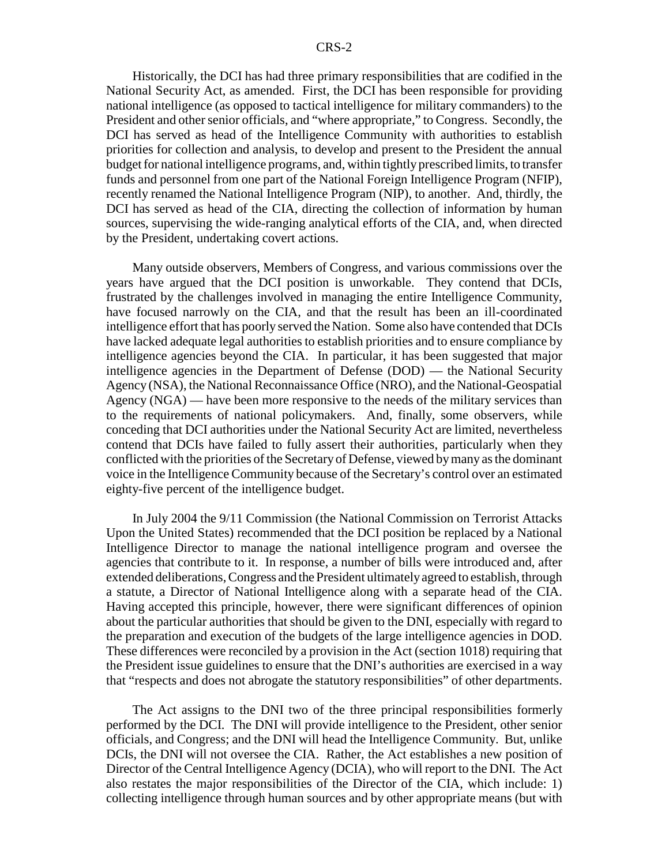Historically, the DCI has had three primary responsibilities that are codified in the National Security Act, as amended. First, the DCI has been responsible for providing national intelligence (as opposed to tactical intelligence for military commanders) to the President and other senior officials, and "where appropriate," to Congress. Secondly, the DCI has served as head of the Intelligence Community with authorities to establish priorities for collection and analysis, to develop and present to the President the annual budget for national intelligence programs, and, within tightly prescribed limits, to transfer funds and personnel from one part of the National Foreign Intelligence Program (NFIP), recently renamed the National Intelligence Program (NIP), to another. And, thirdly, the DCI has served as head of the CIA, directing the collection of information by human sources, supervising the wide-ranging analytical efforts of the CIA, and, when directed by the President, undertaking covert actions.

Many outside observers, Members of Congress, and various commissions over the years have argued that the DCI position is unworkable. They contend that DCIs, frustrated by the challenges involved in managing the entire Intelligence Community, have focused narrowly on the CIA, and that the result has been an ill-coordinated intelligence effort that has poorly served the Nation. Some also have contended that DCIs have lacked adequate legal authorities to establish priorities and to ensure compliance by intelligence agencies beyond the CIA. In particular, it has been suggested that major intelligence agencies in the Department of Defense (DOD) — the National Security Agency (NSA), the National Reconnaissance Office (NRO), and the National-Geospatial Agency (NGA) — have been more responsive to the needs of the military services than to the requirements of national policymakers. And, finally, some observers, while conceding that DCI authorities under the National Security Act are limited, nevertheless contend that DCIs have failed to fully assert their authorities, particularly when they conflicted with the priorities of the Secretary of Defense, viewed by many as the dominant voice in the Intelligence Community because of the Secretary's control over an estimated eighty-five percent of the intelligence budget.

In July 2004 the 9/11 Commission (the National Commission on Terrorist Attacks Upon the United States) recommended that the DCI position be replaced by a National Intelligence Director to manage the national intelligence program and oversee the agencies that contribute to it. In response, a number of bills were introduced and, after extended deliberations, Congress and the President ultimately agreed to establish, through a statute, a Director of National Intelligence along with a separate head of the CIA. Having accepted this principle, however, there were significant differences of opinion about the particular authorities that should be given to the DNI, especially with regard to the preparation and execution of the budgets of the large intelligence agencies in DOD. These differences were reconciled by a provision in the Act (section 1018) requiring that the President issue guidelines to ensure that the DNI's authorities are exercised in a way that "respects and does not abrogate the statutory responsibilities" of other departments.

The Act assigns to the DNI two of the three principal responsibilities formerly performed by the DCI. The DNI will provide intelligence to the President, other senior officials, and Congress; and the DNI will head the Intelligence Community. But, unlike DCIs, the DNI will not oversee the CIA. Rather, the Act establishes a new position of Director of the Central Intelligence Agency (DCIA), who will report to the DNI. The Act also restates the major responsibilities of the Director of the CIA, which include: 1) collecting intelligence through human sources and by other appropriate means (but with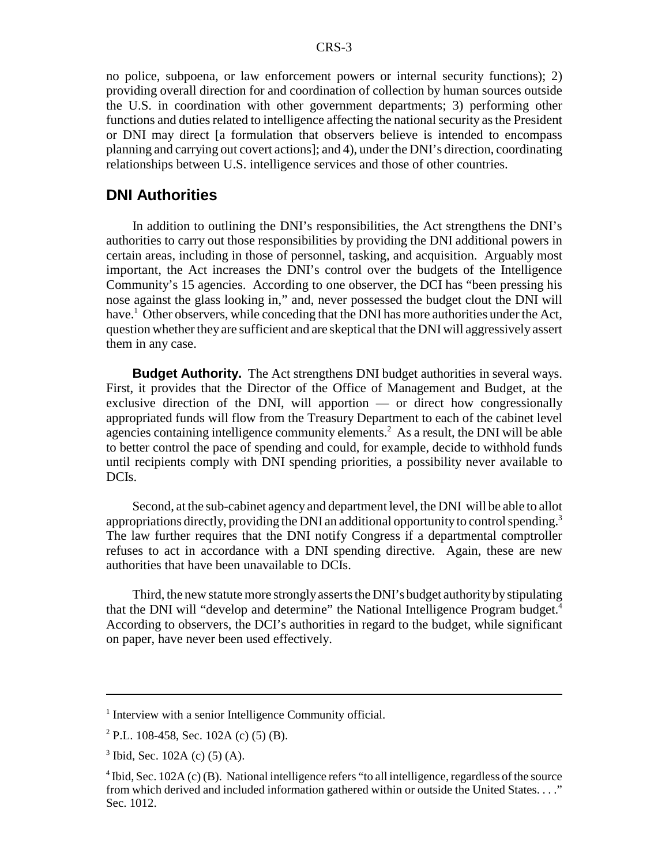no police, subpoena, or law enforcement powers or internal security functions); 2) providing overall direction for and coordination of collection by human sources outside the U.S. in coordination with other government departments; 3) performing other functions and duties related to intelligence affecting the national security as the President or DNI may direct [a formulation that observers believe is intended to encompass planning and carrying out covert actions]; and 4), under the DNI's direction, coordinating relationships between U.S. intelligence services and those of other countries.

#### **DNI Authorities**

In addition to outlining the DNI's responsibilities, the Act strengthens the DNI's authorities to carry out those responsibilities by providing the DNI additional powers in certain areas, including in those of personnel, tasking, and acquisition. Arguably most important, the Act increases the DNI's control over the budgets of the Intelligence Community's 15 agencies. According to one observer, the DCI has "been pressing his nose against the glass looking in," and, never possessed the budget clout the DNI will have.<sup>1</sup> Other observers, while conceding that the DNI has more authorities under the Act, question whether they are sufficient and are skeptical that the DNI will aggressively assert them in any case.

**Budget Authority.** The Act strengthens DNI budget authorities in several ways. First, it provides that the Director of the Office of Management and Budget, at the exclusive direction of the DNI, will apportion — or direct how congressionally appropriated funds will flow from the Treasury Department to each of the cabinet level agencies containing intelligence community elements.<sup>2</sup> As a result, the DNI will be able to better control the pace of spending and could, for example, decide to withhold funds until recipients comply with DNI spending priorities, a possibility never available to DCIs.

Second, at the sub-cabinet agency and department level, the DNI will be able to allot appropriations directly, providing the DNI an additional opportunity to control spending.<sup>3</sup> The law further requires that the DNI notify Congress if a departmental comptroller refuses to act in accordance with a DNI spending directive. Again, these are new authorities that have been unavailable to DCIs.

Third, the new statute more strongly asserts the DNI's budget authority by stipulating that the DNI will "develop and determine" the National Intelligence Program budget.4 According to observers, the DCI's authorities in regard to the budget, while significant on paper, have never been used effectively.

<sup>&</sup>lt;sup>1</sup> Interview with a senior Intelligence Community official.

<sup>2</sup> P.L. 108-458, Sec. 102A (c) (5) (B).

 $3$  Ibid, Sec. 102A (c) (5) (A).

<sup>&</sup>lt;sup>4</sup> Ibid, Sec. 102A (c) (B). National intelligence refers "to all intelligence, regardless of the source from which derived and included information gathered within or outside the United States. . . ." Sec. 1012.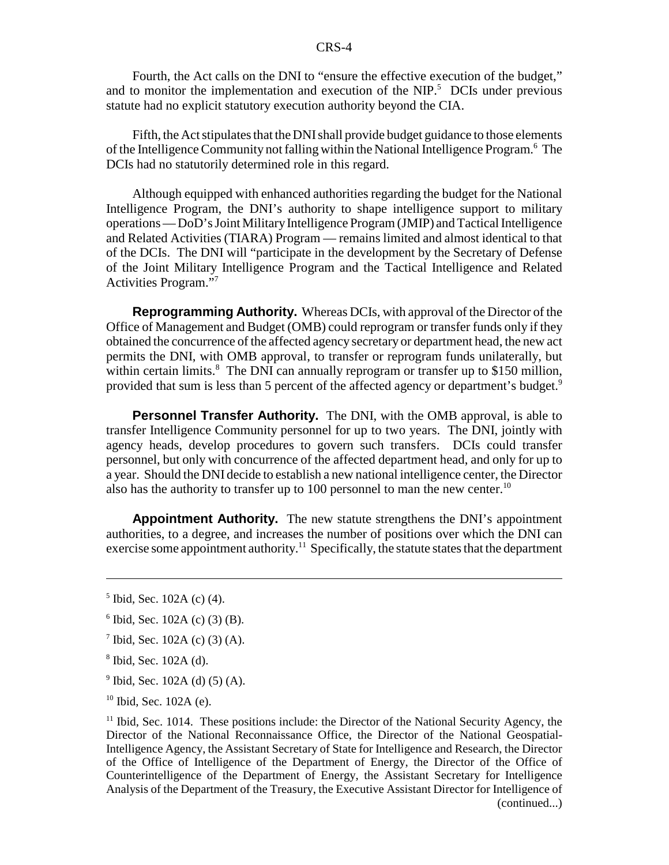#### CRS-4

Fourth, the Act calls on the DNI to "ensure the effective execution of the budget," and to monitor the implementation and execution of the  $NIP$ <sup>5</sup>. DCIs under previous statute had no explicit statutory execution authority beyond the CIA.

Fifth, the Act stipulates that the DNI shall provide budget guidance to those elements of the Intelligence Community not falling within the National Intelligence Program.<sup>6</sup> The DCIs had no statutorily determined role in this regard.

Although equipped with enhanced authorities regarding the budget for the National Intelligence Program, the DNI's authority to shape intelligence support to military operations — DoD's Joint Military Intelligence Program (JMIP) and Tactical Intelligence and Related Activities (TIARA) Program — remains limited and almost identical to that of the DCIs. The DNI will "participate in the development by the Secretary of Defense of the Joint Military Intelligence Program and the Tactical Intelligence and Related Activities Program."7

**Reprogramming Authority.** Whereas DCIs, with approval of the Director of the Office of Management and Budget (OMB) could reprogram or transfer funds only if they obtained the concurrence of the affected agency secretary or department head, the new act permits the DNI, with OMB approval, to transfer or reprogram funds unilaterally, but within certain limits.<sup>8</sup> The DNI can annually reprogram or transfer up to \$150 million, provided that sum is less than 5 percent of the affected agency or department's budget.<sup>9</sup>

**Personnel Transfer Authority.** The DNI, with the OMB approval, is able to transfer Intelligence Community personnel for up to two years. The DNI, jointly with agency heads, develop procedures to govern such transfers. DCIs could transfer personnel, but only with concurrence of the affected department head, and only for up to a year. Should the DNI decide to establish a new national intelligence center, the Director also has the authority to transfer up to 100 personnel to man the new center.<sup>10</sup>

**Appointment Authority.** The new statute strengthens the DNI's appointment authorities, to a degree, and increases the number of positions over which the DNI can exercise some appointment authority.<sup>11</sup> Specifically, the statute states that the department

- 6 Ibid, Sec. 102A (c) (3) (B).
- $7$  Ibid, Sec. 102A (c) (3) (A).
- 8 Ibid, Sec. 102A (d).
- $9$  Ibid, Sec. 102A (d) (5) (A).
- <sup>10</sup> Ibid, Sec. 102A (e).

 $11$  Ibid, Sec. 1014. These positions include: the Director of the National Security Agency, the Director of the National Reconnaissance Office, the Director of the National Geospatial-Intelligence Agency, the Assistant Secretary of State for Intelligence and Research, the Director of the Office of Intelligence of the Department of Energy, the Director of the Office of Counterintelligence of the Department of Energy, the Assistant Secretary for Intelligence Analysis of the Department of the Treasury, the Executive Assistant Director for Intelligence of (continued...)

<sup>5</sup> Ibid, Sec. 102A (c) (4).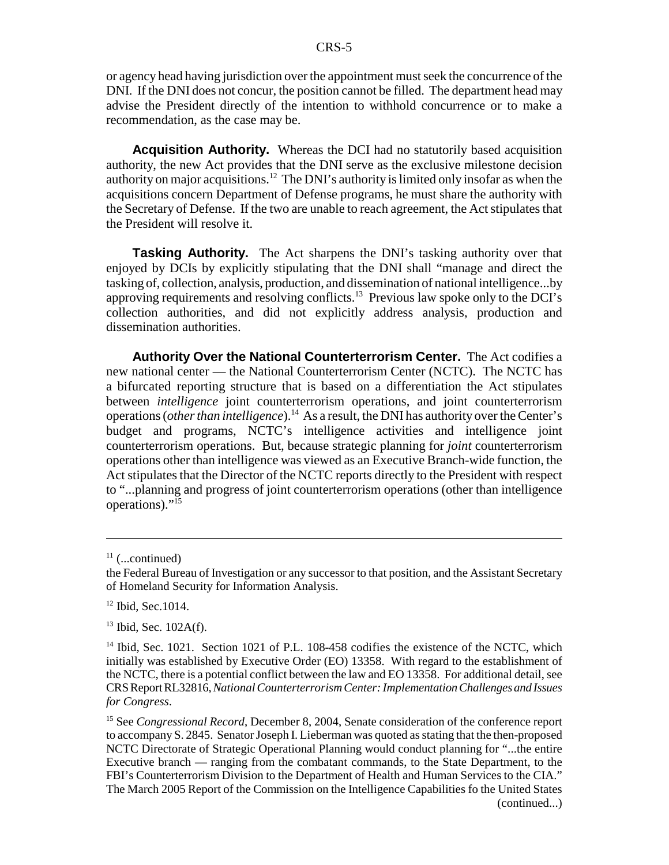or agency head having jurisdiction over the appointment must seek the concurrence of the DNI. If the DNI does not concur, the position cannot be filled. The department head may advise the President directly of the intention to withhold concurrence or to make a recommendation, as the case may be.

**Acquisition Authority.** Whereas the DCI had no statutorily based acquisition authority, the new Act provides that the DNI serve as the exclusive milestone decision authority on major acquisitions.12 The DNI's authority is limited only insofar as when the acquisitions concern Department of Defense programs, he must share the authority with the Secretary of Defense. If the two are unable to reach agreement, the Act stipulates that the President will resolve it.

**Tasking Authority.** The Act sharpens the DNI's tasking authority over that enjoyed by DCIs by explicitly stipulating that the DNI shall "manage and direct the tasking of, collection, analysis, production, and dissemination of national intelligence...by approving requirements and resolving conflicts.13 Previous law spoke only to the DCI's collection authorities, and did not explicitly address analysis, production and dissemination authorities.

**Authority Over the National Counterterrorism Center.** The Act codifies a new national center — the National Counterterrorism Center (NCTC). The NCTC has a bifurcated reporting structure that is based on a differentiation the Act stipulates between *intelligence* joint counterterrorism operations, and joint counterterrorism operations (*other than intelligence*).<sup>14</sup> As a result, the DNI has authority over the Center's budget and programs, NCTC's intelligence activities and intelligence joint counterterrorism operations. But, because strategic planning for *joint* counterterrorism operations other than intelligence was viewed as an Executive Branch-wide function, the Act stipulates that the Director of the NCTC reports directly to the President with respect to "...planning and progress of joint counterterrorism operations (other than intelligence operations)."15

 $11$  (...continued)

the Federal Bureau of Investigation or any successor to that position, and the Assistant Secretary of Homeland Security for Information Analysis.

 $12$  Ibid, Sec.1014.

 $13$  Ibid, Sec. 102A(f).

<sup>&</sup>lt;sup>14</sup> Ibid, Sec. 1021. Section 1021 of P.L. 108-458 codifies the existence of the NCTC, which initially was established by Executive Order (EO) 13358. With regard to the establishment of the NCTC, there is a potential conflict between the law and EO 13358. For additional detail, see CRS Report RL32816, *National Counterterrorism Center: Implementation Challenges and Issues for Congress*.

<sup>&</sup>lt;sup>15</sup> See *Congressional Record*, December 8, 2004, Senate consideration of the conference report to accompany S. 2845. Senator Joseph I. Lieberman was quoted as stating that the then-proposed NCTC Directorate of Strategic Operational Planning would conduct planning for "...the entire Executive branch — ranging from the combatant commands, to the State Department, to the FBI's Counterterrorism Division to the Department of Health and Human Services to the CIA." The March 2005 Report of the Commission on the Intelligence Capabilities fo the United States (continued...)